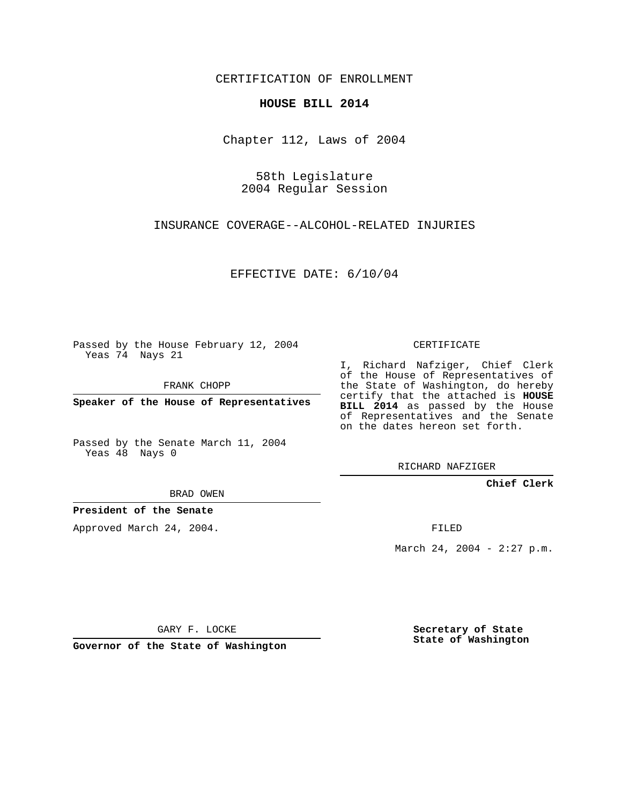CERTIFICATION OF ENROLLMENT

## **HOUSE BILL 2014**

Chapter 112, Laws of 2004

58th Legislature 2004 Regular Session

INSURANCE COVERAGE--ALCOHOL-RELATED INJURIES

EFFECTIVE DATE: 6/10/04

Passed by the House February 12, 2004 Yeas 74 Nays 21

FRANK CHOPP

**Speaker of the House of Representatives**

Passed by the Senate March 11, 2004 Yeas 48 Nays 0

I, Richard Nafziger, Chief Clerk

of the House of Representatives of the State of Washington, do hereby certify that the attached is **HOUSE BILL 2014** as passed by the House of Representatives and the Senate on the dates hereon set forth.

CERTIFICATE

RICHARD NAFZIGER

**Chief Clerk**

BRAD OWEN

**President of the Senate**

Approved March 24, 2004.

FILED

March 24, 2004 - 2:27 p.m.

GARY F. LOCKE

**Governor of the State of Washington**

**Secretary of State State of Washington**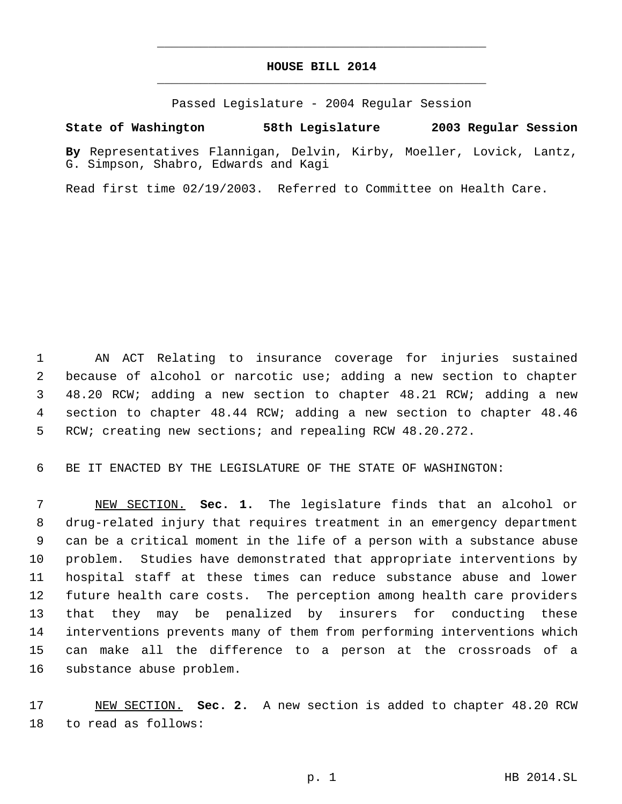## **HOUSE BILL 2014** \_\_\_\_\_\_\_\_\_\_\_\_\_\_\_\_\_\_\_\_\_\_\_\_\_\_\_\_\_\_\_\_\_\_\_\_\_\_\_\_\_\_\_\_\_

\_\_\_\_\_\_\_\_\_\_\_\_\_\_\_\_\_\_\_\_\_\_\_\_\_\_\_\_\_\_\_\_\_\_\_\_\_\_\_\_\_\_\_\_\_

Passed Legislature - 2004 Regular Session

## **State of Washington 58th Legislature 2003 Regular Session**

**By** Representatives Flannigan, Delvin, Kirby, Moeller, Lovick, Lantz, G. Simpson, Shabro, Edwards and Kagi

Read first time 02/19/2003. Referred to Committee on Health Care.

 AN ACT Relating to insurance coverage for injuries sustained because of alcohol or narcotic use; adding a new section to chapter 48.20 RCW; adding a new section to chapter 48.21 RCW; adding a new section to chapter 48.44 RCW; adding a new section to chapter 48.46 RCW; creating new sections; and repealing RCW 48.20.272.

BE IT ENACTED BY THE LEGISLATURE OF THE STATE OF WASHINGTON:

 NEW SECTION. **Sec. 1.** The legislature finds that an alcohol or drug-related injury that requires treatment in an emergency department can be a critical moment in the life of a person with a substance abuse problem. Studies have demonstrated that appropriate interventions by hospital staff at these times can reduce substance abuse and lower future health care costs. The perception among health care providers that they may be penalized by insurers for conducting these interventions prevents many of them from performing interventions which can make all the difference to a person at the crossroads of a substance abuse problem.

 NEW SECTION. **Sec. 2.** A new section is added to chapter 48.20 RCW to read as follows: